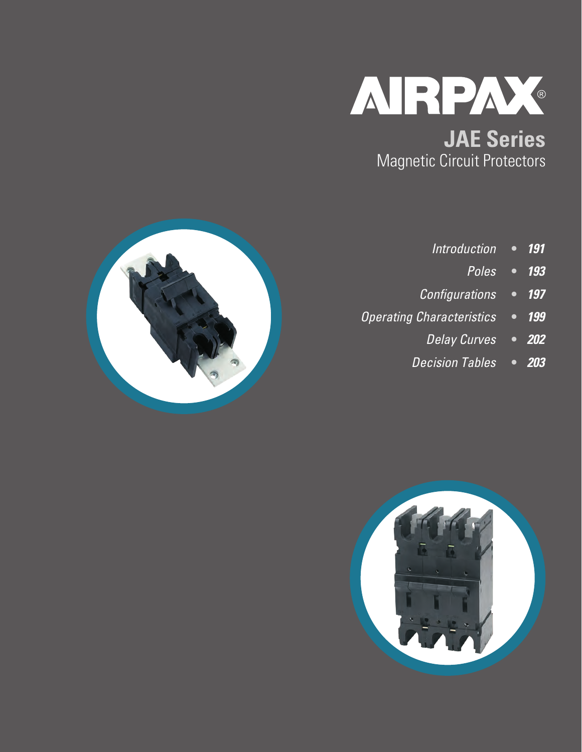

Magnetic Circuit Protectors



- **•** *191 Introduction*
	- **•** *193 Poles*
- **•** *197 Configurations*
- **•** *199 Operating Characteristics*
	- **•** *202 Delay Curves*
	- **•** *203 Decision Tables*

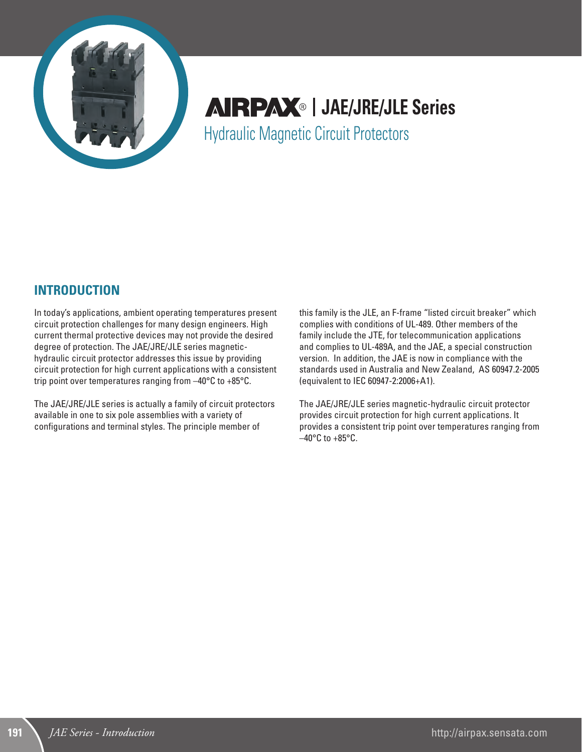

**AIRPAX**® | JAE/JRE/JLE Series Hydraulic Magnetic Circuit Protectors

## **INTRODUCTION**

In today's applications, ambient operating temperatures present circuit protection challenges for many design engineers. High current thermal protective devices may not provide the desired degree of protection. The JAE/JRE/JLE series magnetichydraulic circuit protector addresses this issue by providing circuit protection for high current applications with a consistent trip point over temperatures ranging from –40°C to +85°C.

The JAE/JRE/JLE series is actually a family of circuit protectors available in one to six pole assemblies with a variety of configurations and terminal styles. The principle member of

this family is the JLE, an F-frame "listed circuit breaker" which complies with conditions of UL-489. Other members of the family include the JTE, for telecommunication applications and complies to UL-489A, and the JAE, a special construction version. In addition, the JAE is now in compliance with the standards used in Australia and New Zealand, AS 60947.2-2005 (equivalent to IEC 60947-2:2006+A1).

The JAE/JRE/JLE series magnetic-hydraulic circuit protector provides circuit protection for high current applications. It provides a consistent trip point over temperatures ranging from  $-40\textdegree$ C to  $+85\textdegree$ C.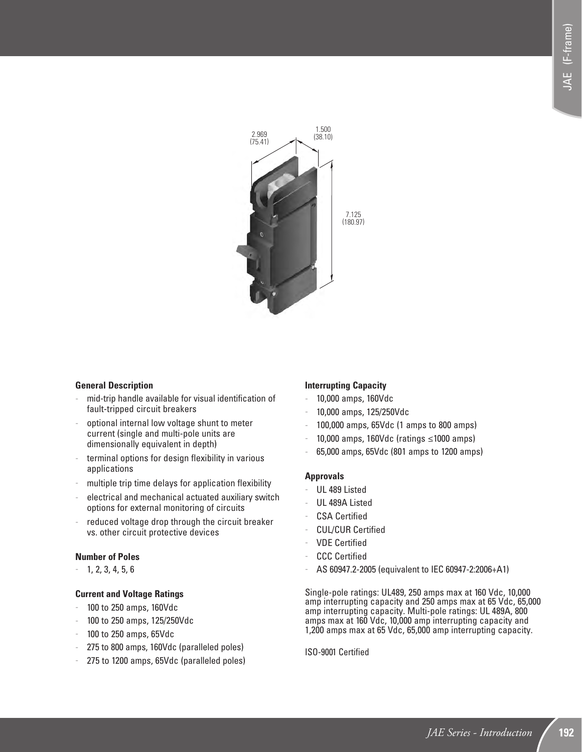

#### **General Description**

- mid-trip handle available for visual identification of fault-tripped circuit breakers
- optional internal low voltage shunt to meter current (single and multi-pole units are dimensionally equivalent in depth)
- terminal options for design flexibility in various applications
- multiple trip time delays for application flexibility
- electrical and mechanical actuated auxiliary switch options for external monitoring of circuits
- reduced voltage drop through the circuit breaker vs. other circuit protective devices

#### **Number of Poles**

- 1, 2, 3, 4, 5, 6

#### **Current and Voltage Ratings**

- 100 to 250 amps, 160Vdc
- 100 to 250 amps, 125/250Vdc
- 100 to 250 amps, 65Vdc
- 275 to 800 amps, 160Vdc (paralleled poles)
- 275 to 1200 amps, 65Vdc (paralleled poles)

### **Interrupting Capacity**

- 10,000 amps, 160Vdc
- 10,000 amps, 125/250Vdc
- 100,000 amps, 65Vdc (1 amps to 800 amps)
- 10,000 amps, 160Vdc (ratings ≤1000 amps)
- 65,000 amps, 65Vdc (801 amps to 1200 amps)

#### **Approvals**

- UL 489 Listed
- UL 489A Listed
- CSA Certified
- CUL/CUR Certified
- VDE Certified
- **CCC Certified**
- AS 60947.2-2005 (equivalent to IEC 60947-2:2006+A1)

Single-pole ratings: UL489, 250 amps max at 160 Vdc, 10,000 amp interrupting capacity and 250 amps max at 65 Vdc, 65,000 amp interrupting capacity. Multi-pole ratings: UL 489A, 800 amps max at 160 Vdc, 10,000 amp interrupting capacity and 1,200 amps max at 65 Vdc, 65,000 amp interrupting capacity.

ISO-9001 Certified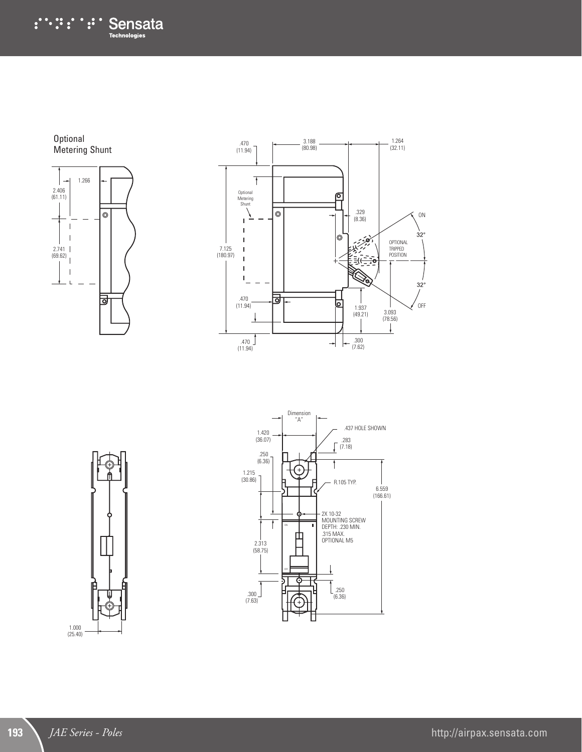:∵:∵:∵: Sensata

**Optional** Metering Shunt







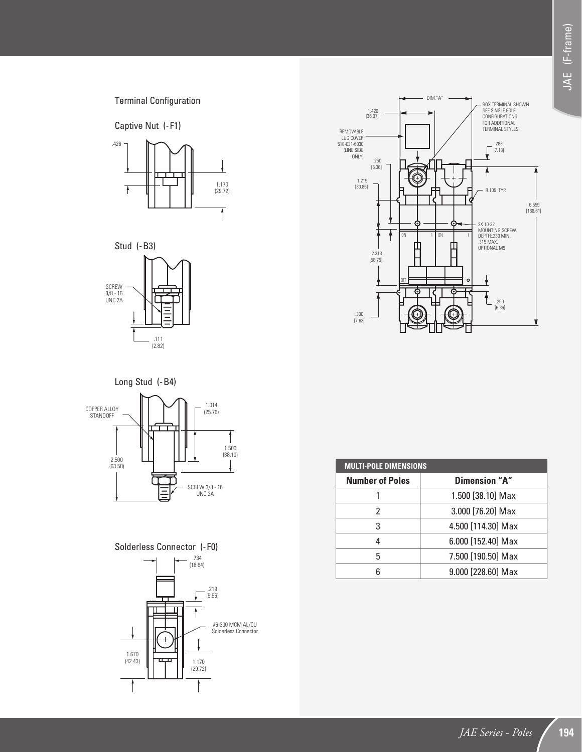Terminal Configuration

Captive Nut (-F1)









## Solderless Connector (-F0)



| <b>MULTI-POLE DIMENSIONS</b> |                    |  |  |  |  |
|------------------------------|--------------------|--|--|--|--|
| <b>Number of Poles</b>       | Dimension "A"      |  |  |  |  |
|                              | 1.500 [38.10] Max  |  |  |  |  |
| 2                            | 3.000 [76.20] Max  |  |  |  |  |
| 3                            | 4.500 [114.30] Max |  |  |  |  |
| 4                            | 6.000 [152.40] Max |  |  |  |  |
| 5                            | 7.500 [190.50] Max |  |  |  |  |
| հ                            | 9.000 [228.60] Max |  |  |  |  |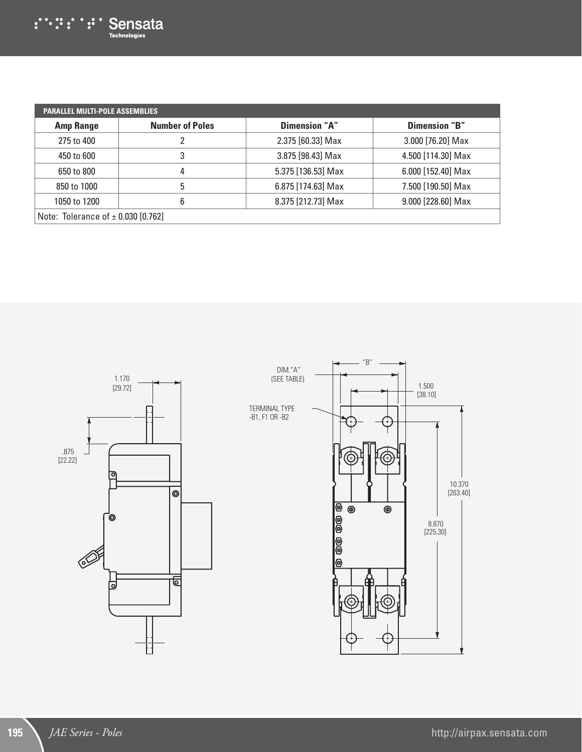| <b>PARALLEL MULTI-POLE ASSEMBLIES</b>  |                        |                    |                    |  |  |  |
|----------------------------------------|------------------------|--------------------|--------------------|--|--|--|
| <b>Amp Range</b>                       | <b>Number of Poles</b> | Dimension "A"      | Dimension "B"      |  |  |  |
| 275 to 400                             |                        | 2.375 [60.33] Max  | 3.000 [76.20] Max  |  |  |  |
| 450 to 600                             | 3                      | 3.875 [98.43] Max  | 4.500 [114.30] Max |  |  |  |
| 650 to 800                             | 4                      | 5.375 [136.53] Max | 6.000 [152.40] Max |  |  |  |
| 850 to 1000                            | 5                      | 6.875 [174.63] Max | 7.500 [190.50] Max |  |  |  |
| 1050 to 1200                           | 6                      | 8.375 [212.73] Max | 9.000 [228.60] Max |  |  |  |
| Note: Tolerance of $\pm$ 0.030 [0.762] |                        |                    |                    |  |  |  |

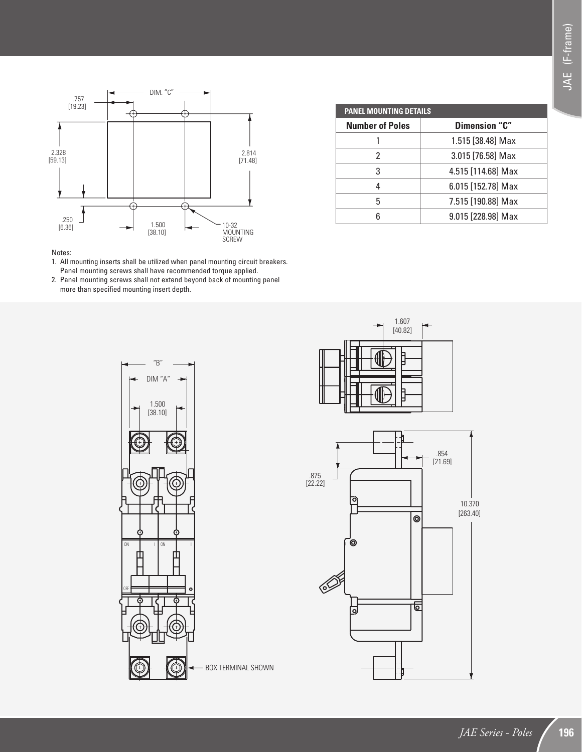

| <b>PANEL MOUNTING DETAILS</b> |                    |  |  |  |  |
|-------------------------------|--------------------|--|--|--|--|
| <b>Number of Poles</b>        | Dimension "C"      |  |  |  |  |
|                               | 1.515 [38.48] Max  |  |  |  |  |
| 2                             | 3.015 [76.58] Max  |  |  |  |  |
| 3                             | 4.515 [114.68] Max |  |  |  |  |
| 4                             | 6.015 [152.78] Max |  |  |  |  |
| 5                             | 7.515 [190.88] Max |  |  |  |  |
|                               | 9.015 [228.98] Max |  |  |  |  |

#### Notes:

- 1. All mounting inserts shall be utilized when panel mounting circuit breakers. Panel mounting screws shall have recommended torque applied.
- 2. Panel mounting screws shall not extend beyond back of mounting panel more than specified mounting insert depth.



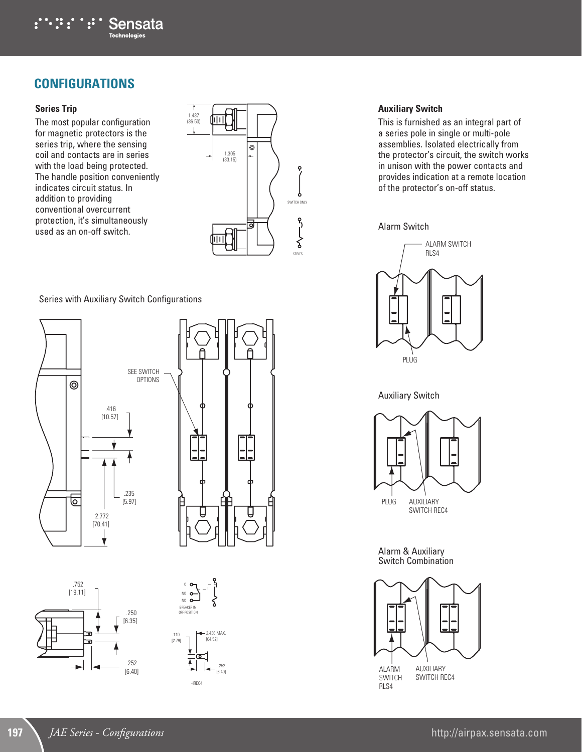

## **CONFIGURATIONS**

### **Series Trip**

The most popular configuration for magnetic protectors is the series trip, where the sensing coil and contacts are in series with the load being protected. The handle position conveniently indicates circuit status. In addition to providing conventional overcurrent protection, it's simultaneously used as an on-off switch.



#### Series with Auxiliary Switch Configurations









#### **Auxiliary Switch**

This is furnished as an integral part of a series pole in single or multi-pole assemblies. Isolated electrically from the protector's circuit, the switch works in unison with the power contacts and provides indication at a remote location of the protector's on-off status.

#### Alarm Switch



Auxiliary Switch



Alarm & Auxiliary Switch Combination

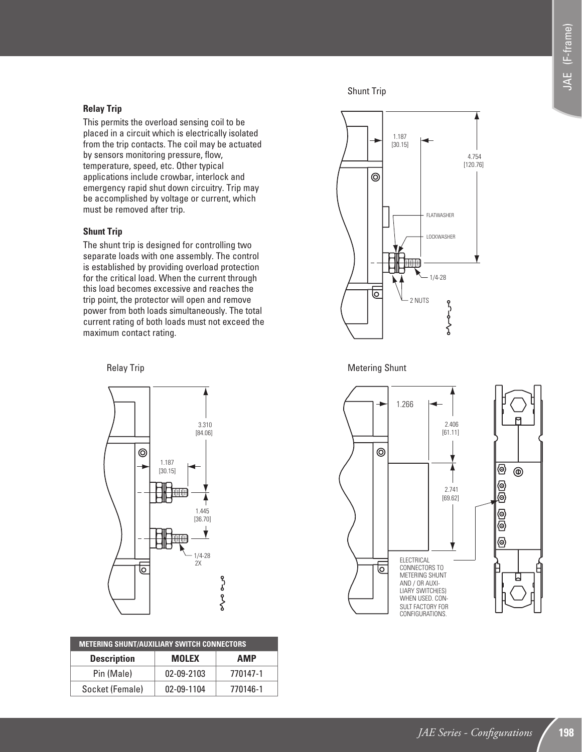### **Relay Trip**

This permits the overload sensing coil to be placed in a circuit which is electrically isolated from the trip contacts. The coil may be actuated by sensors monitoring pressure, flow, temperature, speed, etc. Other typical applications include crowbar, interlock and emergency rapid shut down circuitry. Trip may be accomplished by voltage or current, which must be removed after trip.

#### **Shunt Trip**

The shunt trip is designed for controlling two separate loads with one assembly. The control is established by providing overload protection for the critical load. When the current through this load becomes excessive and reaches the trip point, the protector will open and remove power from both loads simultaneously. The total current rating of both loads must not exceed the maximum contact rating.

## Relay Trip



| <b>METERING SHUNT/AUXILIARY SWITCH CONNECTORS</b> |              |          |  |  |  |
|---------------------------------------------------|--------------|----------|--|--|--|
| <b>Description</b>                                | <b>MOLEX</b> | AMP      |  |  |  |
| Pin (Male)                                        | 02-09-2103   | 770147-1 |  |  |  |
| Socket (Female)                                   | 02-09-1104   | 770146-1 |  |  |  |

Shunt Trip



### Metering Shunt

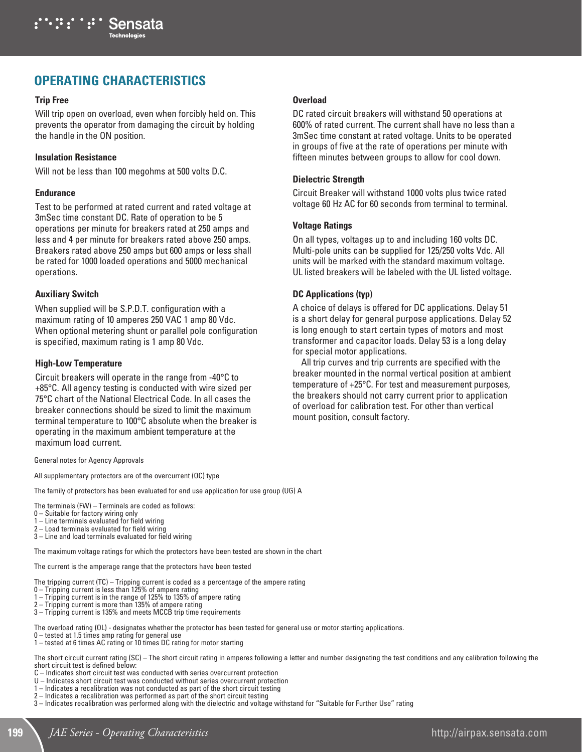

# **OPERATING CHARACTERISTICS**

#### **Trip Free**

Will trip open on overload, even when forcibly held on. This prevents the operator from damaging the circuit by holding the handle in the ON position.

#### **Insulation Resistance**

Will not be less than 100 megohms at 500 volts D.C.

#### **Endurance**

Test to be performed at rated current and rated voltage at 3mSec time constant DC. Rate of operation to be 5 operations per minute for breakers rated at 250 amps and less and 4 per minute for breakers rated above 250 amps. Breakers rated above 250 amps but 600 amps or less shall be rated for 1000 loaded operations and 5000 mechanical operations.

#### **Auxiliary Switch**

When supplied will be S.P.D.T. configuration with a maximum rating of 10 amperes 250 VAC 1 amp 80 Vdc. When optional metering shunt or parallel pole configuration is specified, maximum rating is 1 amp 80 Vdc.

#### **High-Low Temperature**

Circuit breakers will operate in the range from -40°C to +85°C. All agency testing is conducted with wire sized per 75°C chart of the National Electrical Code. In all cases the breaker connections should be sized to limit the maximum terminal temperature to 100°C absolute when the breaker is operating in the maximum ambient temperature at the maximum load current.

General notes for Agency Approvals

All supplementary protectors are of the overcurrent (OC) type

The family of protectors has been evaluated for end use application for use group (UG) A

The terminals (FW) – Terminals are coded as follows:

- $0 -$  Suitable for factory wiring only  $1 -$  Line terminals evaluated for field
- Line terminals evaluated for field wiring
- 2 Load terminals evaluated for field wiring

3 – Line and load terminals evaluated for field wiring

The maximum voltage ratings for which the protectors have been tested are shown in the chart

The current is the amperage range that the protectors have been tested

- The tripping current (TC) Tripping current is coded as a percentage of the ampere rating
- 0 Tripping current is less than 125% of ampere rating
- 1 Tripping current is in the range of 125% to 135% of ampere rating
- 2 Tripping current is more than 135% of ampere rating
- 3 Tripping current is 135% and meets MCCB trip time requirements

The overload rating (OL) - designates whether the protector has been tested for general use or motor starting applications.

- 0 tested at 1.5 times amp rating for general use
- 1 tested at 6 times AC rating or 10 times DC rating for motor starting

The short circuit current rating (SC) – The short circuit rating in amperes following a letter and number designating the test conditions and any calibration following the short circuit test is defined below:

- C Indicates short circuit test was conducted with series overcurrent protection
- U Indicates short circuit test was conducted without series overcurrent protection
- 1 Indicates a recalibration was not conducted as part of the short circuit testing
- 2 Indicates a recalibration was performed as part of the short circuit testing
- 3 Indicates recalibration was performed along with the dielectric and voltage withstand for "Suitable for Further Use" rating

#### **Overload**

DC rated circuit breakers will withstand 50 operations at 600% of rated current. The current shall have no less than a 3mSec time constant at rated voltage. Units to be operated in groups of five at the rate of operations per minute with fifteen minutes between groups to allow for cool down.

#### **Dielectric Strength**

Circuit Breaker will withstand 1000 volts plus twice rated voltage 60 Hz AC for 60 seconds from terminal to terminal.

#### **Voltage Ratings**

On all types, voltages up to and including 160 volts DC. Multi-pole units can be supplied for 125/250 volts Vdc. All units will be marked with the standard maximum voltage. UL listed breakers will be labeled with the UL listed voltage.

#### **DC Applications (typ)**

A choice of delays is offered for DC applications. Delay 51 is a short delay for general purpose applications. Delay 52 is long enough to start certain types of motors and most transformer and capacitor loads. Delay 53 is a long delay for special motor applications.

All trip curves and trip currents are specified with the breaker mounted in the normal vertical position at ambient temperature of +25°C. For test and measurement purposes, the breakers should not carry current prior to application of overload for calibration test. For other than vertical mount position, consult factory.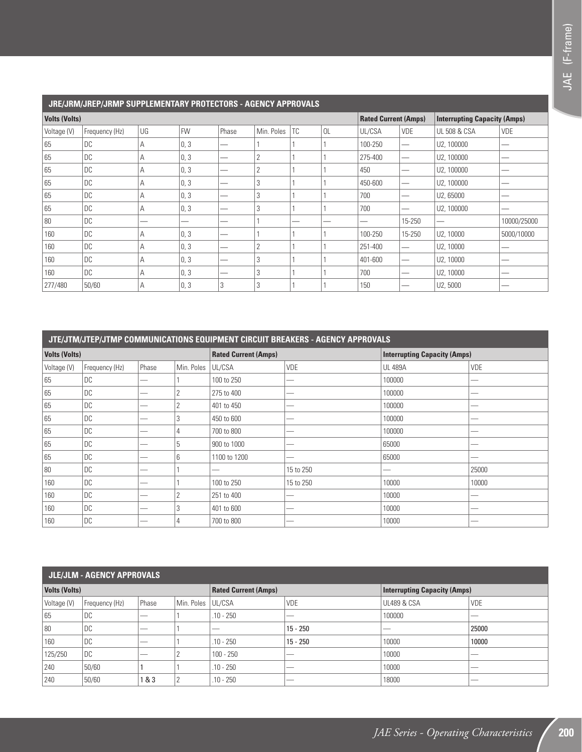|             | JRE/JRM/JREP/JRMP SUPPLEMENTARY PROTECTORS - AGENCY APPROVALS |    |           |       |                |     |    |         |                             |                                     |             |
|-------------|---------------------------------------------------------------|----|-----------|-------|----------------|-----|----|---------|-----------------------------|-------------------------------------|-------------|
|             | <b>Volts (Volts)</b>                                          |    |           |       |                |     |    |         | <b>Rated Current (Amps)</b> | <b>Interrupting Capacity (Amps)</b> |             |
| Voltage (V) | Frequency (Hz)                                                | UG | <b>FW</b> | Phase | Min. Poles     | TC. | 0L | UL/CSA  | <b>VDE</b>                  | <b>UL 508 &amp; CSA</b>             | <b>VDE</b>  |
| 65          | <b>DC</b>                                                     | А  | 0, 3      |       |                |     |    | 100-250 | —                           | U2, 100000                          |             |
| 65          | <b>DC</b>                                                     | А  | 0, 3      |       | $\overline{2}$ |     |    | 275-400 |                             | U2, 100000                          |             |
| 65          | <b>DC</b>                                                     | А  | 0, 3      |       | $\overline{2}$ |     |    | 450     |                             | U2, 100000                          |             |
| 65          | <b>DC</b>                                                     | А  | 0, 3      |       | 3              |     |    | 450-600 | -                           | U2, 100000                          |             |
| 65          | <b>DC</b>                                                     | А  | 0, 3      |       | 3              |     |    | 700     |                             | U2,65000                            |             |
| 65          | DC                                                            | А  | 0, 3      |       | 3              |     |    | 700     |                             | U2, 100000                          |             |
| 80          | <b>DC</b>                                                     |    |           |       |                |     |    |         | 15-250                      |                                     | 10000/25000 |
| 160         | <b>DC</b>                                                     | А  | 0, 3      | –     |                |     |    | 100-250 | 15-250                      | U2, 10000                           | 5000/10000  |
| 160         | <b>DC</b>                                                     | А  | 0, 3      |       | $\overline{2}$ |     |    | 251-400 | --                          | U2, 10000                           |             |
| 160         | <b>DC</b>                                                     | А  | 0, 3      |       | 3              |     |    | 401-600 | –                           | U2, 10000                           |             |
| 160         | <b>DC</b>                                                     | А  | 0, 3      | –     | 3              |     |    | 700     |                             | U2, 10000                           | _           |
| 277/480     | 50/60                                                         | А  | 0, 3      | 3     | 3              |     |    | 150     |                             | U2,5000                             |             |

|                      | JTE/JTM/JTEP/JTMP COMMUNICATIONS EQUIPMENT CIRCUIT BREAKERS - AGENCY APPROVALS |       |            |                             |            |                                     |            |
|----------------------|--------------------------------------------------------------------------------|-------|------------|-----------------------------|------------|-------------------------------------|------------|
| <b>Volts (Volts)</b> |                                                                                |       |            | <b>Rated Current (Amps)</b> |            | <b>Interrupting Capacity (Amps)</b> |            |
| Voltage (V)          | Frequency (Hz)                                                                 | Phase | Min. Poles | UL/CSA                      | <b>VDE</b> | <b>UL 489A</b>                      | <b>VDE</b> |
| 65                   | DC                                                                             | -     |            | 100 to 250                  |            | 100000                              | -          |
| 65                   | <b>DC</b>                                                                      |       |            | 275 to 400                  |            | 100000                              |            |
| 65                   | DC                                                                             |       |            | 401 to 450                  | _          | 100000                              | --         |
| 65                   | DC                                                                             |       | 3          | 450 to 600                  | -          | 100000                              |            |
| 65                   | <b>DC</b>                                                                      |       |            | 700 to 800                  | -          | 100000                              | --         |
| 65                   | DC                                                                             |       | 5          | 900 to 1000                 | -          | 65000                               |            |
| 65                   | <b>DC</b>                                                                      |       | 6          | 1100 to 1200                | --         | 65000                               |            |
| 80                   | DC                                                                             |       |            |                             | 15 to 250  |                                     | 25000      |
| 160                  | DC                                                                             |       |            | 100 to 250                  | 15 to 250  | 10000                               | 10000      |
| 160                  | DC                                                                             |       | C          | 251 to 400                  |            | 10000                               |            |
| 160                  | DC                                                                             | -     | 3          | 401 to 600                  | -          | 10000                               | --         |
| 160                  | DC                                                                             |       |            | 700 to 800                  |            | 10000                               |            |

|                      | JLE/JLM - AGENCY APPROVALS |       |            |                             |            |                                     |       |  |
|----------------------|----------------------------|-------|------------|-----------------------------|------------|-------------------------------------|-------|--|
| <b>Volts (Volts)</b> |                            |       |            | <b>Rated Current (Amps)</b> |            | <b>Interrupting Capacity (Amps)</b> |       |  |
| Voltage (V)          | Frequency (Hz)             | Phase | Min. Poles | UL/CSA                      | VDE        | <b>UL489 &amp; CSA</b>              | VDE   |  |
| 65                   | DC                         | _     |            | $.10 - 250$                 | __         | 100000                              | __    |  |
| 80                   | DC                         | _     |            | --                          | $15 - 250$ | __                                  | 25000 |  |
| 160                  | DC                         | _     |            | $.10 - 250$                 | $15 - 250$ | 10000                               | 10000 |  |
| 125/250              | DC                         | _     |            | $100 - 250$                 | __         | 10000                               | __    |  |
| 240                  | 50/60                      |       |            | $.10 - 250$                 | _          | 10000                               | _     |  |
| 240                  | 50/60                      | 1&3   | റ          | $.10 - 250$                 | __         | 18000                               | _     |  |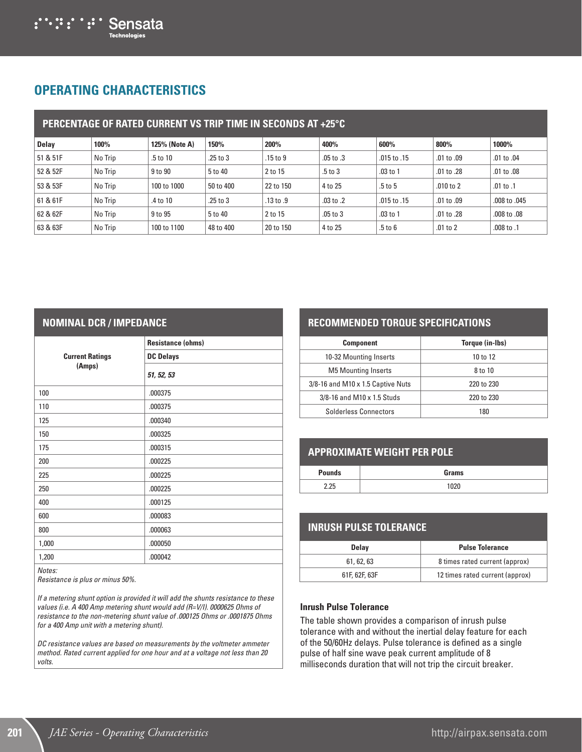

# **OPERATING CHARACTERISTICS**

|          |         |               | <b>PERCENTAGE OF RATED CURRENT VS TRIP TIME IN SECONDS AT +25°C</b> |              |               |             |                |                |
|----------|---------|---------------|---------------------------------------------------------------------|--------------|---------------|-------------|----------------|----------------|
| Delay    | 100%    | 125% (Note A) | 150%                                                                | 200%         | 400%          | 600%        | 800%           | 1000%          |
| 51 & 51F | No Trip | .5 to 10      | .25 to 3                                                            | $.15$ to $9$ | $.05$ to $.3$ | .015 to .15 | $.01$ to $.09$ | $.01$ to $.04$ |
| 52 & 52F | No Trip | 9 to 90       | 5 to 40                                                             | 2 to 15      | $.5$ to $3$   | $.03$ to 1  | .01 to .28     | $.01$ to $.08$ |
| 53 & 53F | No Trip | 100 to 1000   | 50 to 400                                                           | 22 to 150    | 4 to 25       | .5 to 5     | $.010$ to $2$  | .01 to .1      |
| 61 & 61F | No Trip | .4 to 10      | $.25$ to $3$                                                        | .13 to .9    | .03 to .2     | .015 to .15 | $.01$ to $.09$ | .008 to .045   |
| 62 & 62F | No Trip | 9 to 95       | 5 to 40                                                             | 2 to 15      | $.05$ to $3$  | $.03$ to 1  | .01 to .28     | .008 to .08    |
| 63 & 63F | No Trip | 100 to 1100   | 48 to 400                                                           | 20 to 150    | 4 to 25       | $.5$ to $6$ | $.01$ to $2$   | .008 to .1     |

### **NOMINAL DCR / IMPEDANCE**

|                        | <b>Resistance (ohms)</b> |
|------------------------|--------------------------|
| <b>Current Ratings</b> | <b>DC Delays</b>         |
| (Amps)                 | 51, 52, 53               |
| 100                    | .000375                  |
| 110                    | .000375                  |
| 125                    | .000340                  |
| 150                    | .000325                  |
| 175                    | .000315                  |
| 200                    | .000225                  |
| 225                    | .000225                  |
| 250                    | .000225                  |
| 400                    | .000125                  |
| 600                    | .000083                  |
| 800                    | .000063                  |
| 1,000                  | .000050                  |
| 1,200                  | .000042                  |

*Notes:*

*Resistance is plus or minus 50%.*

*If a metering shunt option is provided it will add the shunts resistance to these values (i.e. A 400 Amp metering shunt would add (R=V/I). 0000625 Ohms of resistance to the non-metering shunt value of .000125 Ohms or .0001875 Ohms for a 400 Amp unit with a metering shunt).*

*DC resistance values are based on measurements by the voltmeter ammeter method. Rated current applied for one hour and at a voltage not less than 20 volts.*

## **RECOMMENDED TORQUE SPECIFICATIONS**

| <b>Component</b>                  | Torque (in-Ibs) |
|-----------------------------------|-----------------|
| 10-32 Mounting Inserts            | 10 to 12        |
| <b>M5 Mounting Inserts</b>        | 8 to 10         |
| 3/8-16 and M10 x 1.5 Captive Nuts | 220 to 230      |
| $3/8 - 16$ and M10 x 1.5 Studs    | 220 to 230      |
| <b>Solderless Connectors</b>      | 180             |

## **APPROXIMATE WEIGHT PER POLE**

| <b>Pounds</b> | Grams |
|---------------|-------|
| 2.25          | 020   |

## **INRUSH PULSE TOLERANCE**

| <b>Delay</b>  | <b>Pulse Tolerance</b>          |
|---------------|---------------------------------|
| 61.62.63      | 8 times rated current (approx)  |
| 61F, 62F, 63F | 12 times rated current (approx) |

#### **Inrush Pulse Tolerance**

The table shown provides a comparison of inrush pulse tolerance with and without the inertial delay feature for each of the 50/60Hz delays. Pulse tolerance is defined as a single pulse of half sine wave peak current amplitude of 8 milliseconds duration that will not trip the circuit breaker.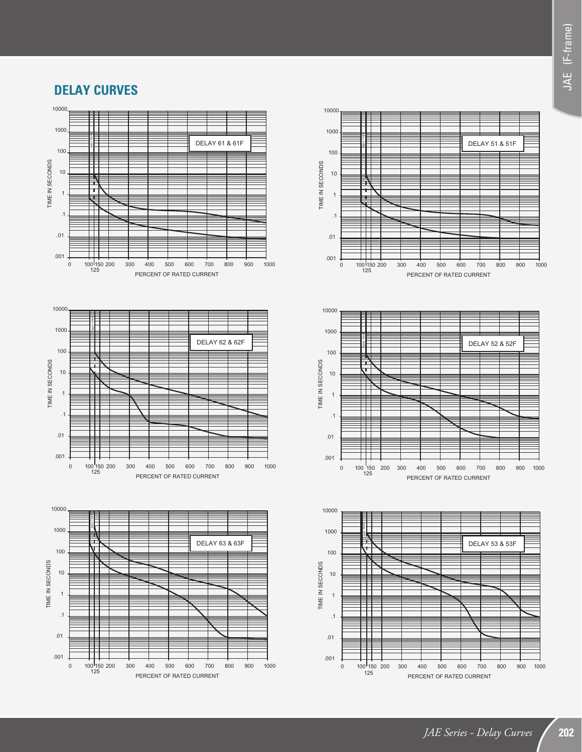## **DELAY CURVES**









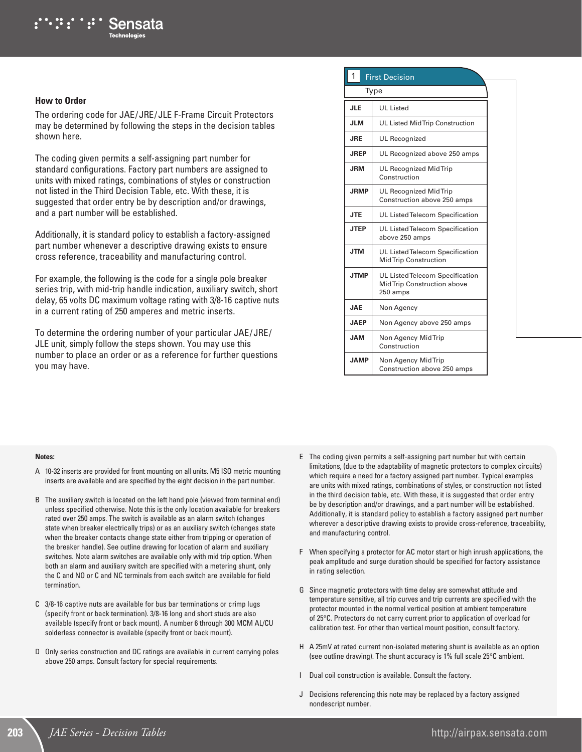#### **How to Order**

The ordering code for JAE/JRE/JLE F-Frame Circuit Protectors may be determined by following the steps in the decision tables shown here.

The coding given permits a self-assigning part number for standard configurations. Factory part numbers are assigned to units with mixed ratings, combinations of styles or construction not listed in the Third Decision Table, etc. With these, it is suggested that order entry be by description and/or drawings, and a part number will be established.

Additionally, it is standard policy to establish a factory-assigned part number whenever a descriptive drawing exists to ensure cross reference, traceability and manufacturing control.

For example, the following is the code for a single pole breaker series trip, with mid-trip handle indication, auxiliary switch, short delay, 65 volts DC maximum voltage rating with 3/8-16 captive nuts in a current rating of 250 amperes and metric inserts.

To determine the ordering number of your particular JAE/JRE/ JLE unit, simply follow the steps shown. You may use this number to place an order or as a reference for further questions you may have.

### **1** First Decision

| Type        |                                                                            |  |
|-------------|----------------------------------------------------------------------------|--|
| <b>JLE</b>  | <b>UL</b> Listed                                                           |  |
| <b>JLM</b>  | UL Listed MidTrip Construction                                             |  |
| <b>JRE</b>  | <b>UL Recognized</b>                                                       |  |
| <b>JREP</b> | UL Recognized above 250 amps                                               |  |
| <b>JRM</b>  | <b>UL Recognized Mid Trip</b><br>Construction                              |  |
| <b>JRMP</b> | <b>UL Recognized Mid Trip</b><br>Construction above 250 amps               |  |
| <b>JTE</b>  | UL Listed Telecom Specification                                            |  |
| <b>JTEP</b> | UL Listed Telecom Specification<br>above 250 amps                          |  |
| <b>JTM</b>  | UL Listed Telecom Specification<br><b>MidTrip Construction</b>             |  |
| <b>JTMP</b> | UL Listed Telecom Specification<br>Mid Trip Construction above<br>250 amps |  |
| <b>JAE</b>  | Non Agency                                                                 |  |
| <b>JAFP</b> | Non Agency above 250 amps                                                  |  |
| <b>JAM</b>  | Non Agency Mid Trip<br>Construction                                        |  |
| <b>JAMP</b> | Non Agency Mid Trip<br>Construction above 250 amps                         |  |

#### **Notes:**

- A 10-32 inserts are provided for front mounting on all units. M5 ISO metric mounting inserts are available and are specified by the eight decision in the part number.
- B The auxiliary switch is located on the left hand pole (viewed from terminal end) unless specified otherwise. Note this is the only location available for breakers rated over 250 amps. The switch is available as an alarm switch (changes state when breaker electrically trips) or as an auxiliary switch (changes state when the breaker contacts change state either from tripping or operation of the breaker handle). See outline drawing for location of alarm and auxiliary switches. Note alarm switches are available only with mid trip option. When both an alarm and auxiliary switch are specified with a metering shunt, only the C and NO or C and NC terminals from each switch are available for field termination.
- C 3/8-16 captive nuts are available for bus bar terminations or crimp lugs (specify front or back termination). 3/8-16 long and short studs are also available (specify front or back mount). A number 6 through 300 MCM AL/CU solderless connector is available (specify front or back mount).
- D Only series construction and DC ratings are available in current carrying poles above 250 amps. Consult factory for special requirements.
- E The coding given permits a self-assigning part number but with certain limitations, (due to the adaptability of magnetic protectors to complex circuits) which require a need for a factory assigned part number. Typical examples are units with mixed ratings, combinations of styles, or construction not listed in the third decision table, etc. With these, it is suggested that order entry be by description and/or drawings, and a part number will be established. Additionally, it is standard policy to establish a factory assigned part number wherever a descriptive drawing exists to provide cross-reference, traceability, and manufacturing control.
- F When specifying a protector for AC motor start or high inrush applications, the peak amplitude and surge duration should be specified for factory assistance in rating selection.
- G Since magnetic protectors with time delay are somewhat attitude and temperature sensitive, all trip curves and trip currents are specified with the protector mounted in the normal vertical position at ambient temperature of 25°C. Protectors do not carry current prior to application of overload for calibration test. For other than vertical mount position, consult factory.
- H A 25mV at rated current non-isolated metering shunt is available as an option (see outline drawing). The shunt accuracy is 1% full scale 25°C ambient.
- I Dual coil construction is available. Consult the factory.
- J Decisions referencing this note may be replaced by a factory assigned nondescript number.